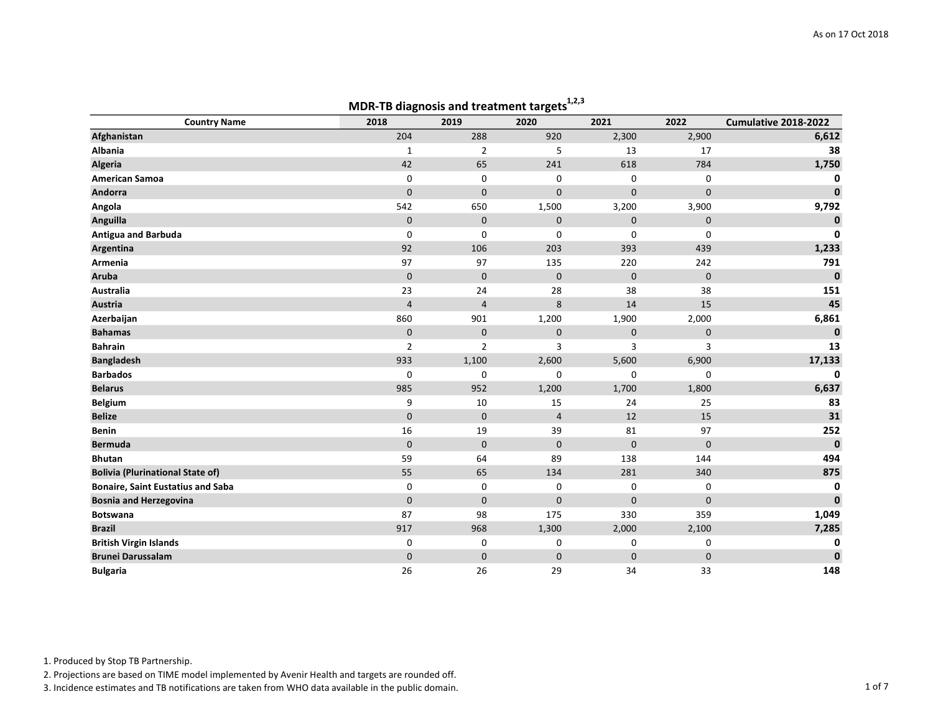|                                          | <b>INDIN-TD anaghosis and treatment targets</b> |                |                |             |              |                      |
|------------------------------------------|-------------------------------------------------|----------------|----------------|-------------|--------------|----------------------|
| <b>Country Name</b>                      | 2018                                            | 2019           | 2020           | 2021        | 2022         | Cumulative 2018-2022 |
| Afghanistan                              | 204                                             | 288            | 920            | 2,300       | 2,900        | 6,612                |
| Albania                                  | 1                                               | $\mathbf 2$    | 5              | 13          | 17           | 38                   |
| Algeria                                  | 42                                              | 65             | 241            | 618         | 784          | 1,750                |
| <b>American Samoa</b>                    | 0                                               | 0              | 0              | 0           | 0            | 0                    |
| Andorra                                  | $\mathbf{0}$                                    | $\mathbf 0$    | $\mathbf 0$    | $\mathbf 0$ | $\mathbf{0}$ | $\mathbf{0}$         |
| Angola                                   | 542                                             | 650            | 1,500          | 3,200       | 3,900        | 9,792                |
| Anguilla                                 | $\mathsf{O}$                                    | $\pmb{0}$      | $\pmb{0}$      | 0           | $\pmb{0}$    | $\mathbf 0$          |
| <b>Antigua and Barbuda</b>               | $\mathbf 0$                                     | $\mathbf 0$    | $\mathbf 0$    | 0           | $\mathbf 0$  | $\mathbf 0$          |
| Argentina                                | 92                                              | 106            | 203            | 393         | 439          | 1,233                |
| Armenia                                  | 97                                              | 97             | 135            | 220         | 242          | 791                  |
| <b>Aruba</b>                             | $\pmb{0}$                                       | $\pmb{0}$      | $\mathbf 0$    | $\pmb{0}$   | $\pmb{0}$    | $\bf{0}$             |
| Australia                                | 23                                              | 24             | 28             | 38          | 38           | 151                  |
| Austria                                  | $\overline{4}$                                  | $\overline{4}$ | 8              | 14          | 15           | 45                   |
| Azerbaijan                               | 860                                             | 901            | 1,200          | 1,900       | 2,000        | 6,861                |
| <b>Bahamas</b>                           | $\mathbf 0$                                     | $\mathbf 0$    | $\mathbf 0$    | $\pmb{0}$   | $\mathbf 0$  | $\mathbf{0}$         |
| <b>Bahrain</b>                           | $\overline{2}$                                  | $\overline{2}$ | 3              | 3           | 3            | 13                   |
| <b>Bangladesh</b>                        | 933                                             | 1,100          | 2,600          | 5,600       | 6,900        | 17,133               |
| <b>Barbados</b>                          | $\mathbf 0$                                     | 0              | $\mathbf 0$    | 0           | 0            | $\mathbf 0$          |
| <b>Belarus</b>                           | 985                                             | 952            | 1,200          | 1,700       | 1,800        | 6,637                |
| Belgium                                  | 9                                               | 10             | 15             | 24          | 25           | 83                   |
| <b>Belize</b>                            | $\mathbf 0$                                     | $\mathbf 0$    | $\overline{4}$ | 12          | 15           | 31                   |
| <b>Benin</b>                             | 16                                              | 19             | 39             | 81          | 97           | 252                  |
| <b>Bermuda</b>                           | $\mathbf 0$                                     | $\mathbf{0}$   | $\Omega$       | $\mathbf 0$ | $\mathbf 0$  | $\mathbf{0}$         |
| <b>Bhutan</b>                            | 59                                              | 64             | 89             | 138         | 144          | 494                  |
| <b>Bolivia (Plurinational State of)</b>  | 55                                              | 65             | 134            | 281         | 340          | 875                  |
| <b>Bonaire, Saint Eustatius and Saba</b> | 0                                               | 0              | 0              | 0           | $\mathbf 0$  | $\mathbf 0$          |
| <b>Bosnia and Herzegovina</b>            | $\mathbf 0$                                     | $\mathbf 0$    | $\mathbf 0$    | $\mathbf 0$ | $\mathbf 0$  | $\mathbf{0}$         |
| Botswana                                 | 87                                              | 98             | 175            | 330         | 359          | 1,049                |
| <b>Brazil</b>                            | 917                                             | 968            | 1,300          | 2,000       | 2,100        | 7,285                |
| <b>British Virgin Islands</b>            | 0                                               | 0              | 0              | 0           | 0            | 0                    |
| <b>Brunei Darussalam</b>                 | $\mathbf 0$                                     | $\mathbf 0$    | $\mathbf 0$    | $\pmb{0}$   | $\mathbf 0$  | $\mathbf 0$          |
| <b>Bulgaria</b>                          | 26                                              | 26             | 29             | 34          | 33           | 148                  |

# MDR-TB diagnosis and treatment targets $1,2,3$

1. Produced by Stop TB Partnership.

2. Projections are based on TIME model implemented by Avenir Health and targets are rounded off.

3. Incidence estimates and TB notifications are taken from WHO data available in the public domain.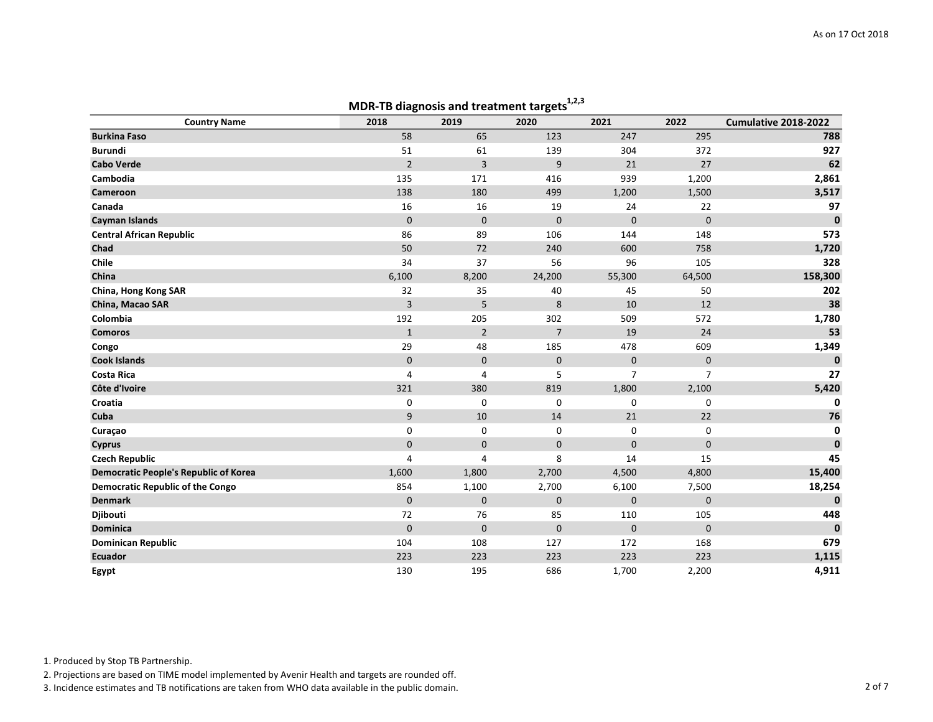|                                              |                | MDR-TB diagnosis and treatment targets |                |                |                |                      |
|----------------------------------------------|----------------|----------------------------------------|----------------|----------------|----------------|----------------------|
| <b>Country Name</b>                          | 2018           | 2019                                   | 2020           | 2021           | 2022           | Cumulative 2018-2022 |
| <b>Burkina Faso</b>                          | 58             | 65                                     | 123            | 247            | 295            | 788                  |
| <b>Burundi</b>                               | 51             | 61                                     | 139            | 304            | 372            | 927                  |
| <b>Cabo Verde</b>                            | $\overline{2}$ | 3                                      | 9              | 21             | 27             | 62                   |
| Cambodia                                     | 135            | 171                                    | 416            | 939            | 1,200          | 2,861                |
| Cameroon                                     | 138            | 180                                    | 499            | 1,200          | 1,500          | 3,517                |
| Canada                                       | 16             | 16                                     | 19             | 24             | 22             | 97                   |
| Cayman Islands                               | $\mathbf{0}$   | $\mathbf 0$                            | $\mathbf 0$    | $\mathbf 0$    | $\mathbf 0$    | $\mathbf 0$          |
| <b>Central African Republic</b>              | 86             | 89                                     | 106            | 144            | 148            | 573                  |
| Chad                                         | 50             | 72                                     | 240            | 600            | 758            | 1,720                |
| Chile                                        | 34             | 37                                     | 56             | 96             | 105            | 328                  |
| China                                        | 6,100          | 8,200                                  | 24,200         | 55,300         | 64,500         | 158,300              |
| China, Hong Kong SAR                         | 32             | 35                                     | 40             | 45             | 50             | 202                  |
| China, Macao SAR                             | 3              | 5                                      | 8              | 10             | 12             | 38                   |
| Colombia                                     | 192            | 205                                    | 302            | 509            | 572            | 1,780                |
| <b>Comoros</b>                               | $\mathbf{1}$   | $\overline{2}$                         | $\overline{7}$ | 19             | 24             | 53                   |
| Congo                                        | 29             | 48                                     | 185            | 478            | 609            | 1,349                |
| <b>Cook Islands</b>                          | $\mathbf 0$    | $\mathbf{0}$                           | $\mathbf 0$    | $\mathsf{O}$   | $\mathbf 0$    | $\mathbf 0$          |
| <b>Costa Rica</b>                            | 4              | 4                                      | 5              | $\overline{7}$ | $\overline{7}$ | 27                   |
| Côte d'Ivoire                                | 321            | 380                                    | 819            | 1,800          | 2,100          | 5,420                |
| Croatia                                      | 0              | 0                                      | $\mathbf 0$    | 0              | $\mathbf 0$    | 0                    |
| Cuba                                         | 9              | 10                                     | 14             | 21             | 22             | 76                   |
| Curaçao                                      | 0              | 0                                      | 0              | 0              | $\mathbf 0$    | $\mathbf 0$          |
| <b>Cyprus</b>                                | $\mathbf 0$    | $\mathbf 0$                            | $\mathbf 0$    | $\mathbf 0$    | $\mathbf 0$    | $\mathbf 0$          |
| <b>Czech Republic</b>                        | 4              | $\overline{4}$                         | 8              | 14             | 15             | 45                   |
| <b>Democratic People's Republic of Korea</b> | 1,600          | 1,800                                  | 2,700          | 4,500          | 4,800          | 15,400               |
| <b>Democratic Republic of the Congo</b>      | 854            | 1,100                                  | 2,700          | 6,100          | 7,500          | 18,254               |
| <b>Denmark</b>                               | $\mathbf 0$    | $\mathbf 0$                            | $\mathbf 0$    | $\mathbf 0$    | $\mathbf 0$    | $\mathbf{0}$         |
| Djibouti                                     | 72             | 76                                     | 85             | 110            | 105            | 448                  |
| <b>Dominica</b>                              | $\mathbf{0}$   | $\mathbf 0$                            | $\mathbf 0$    | $\mathbf 0$    | $\mathbf 0$    | $\mathbf{0}$         |
| <b>Dominican Republic</b>                    | 104            | 108                                    | 127            | 172            | 168            | 679                  |
| <b>Ecuador</b>                               | 223            | 223                                    | 223            | 223            | 223            | 1,115                |
| Egypt                                        | 130            | 195                                    | 686            | 1,700          | 2,200          | 4,911                |

#### MDR-TB diagnosis and treatment targets<sup>1,2,3</sup>

1. Produced by Stop TB Partnership.

2. Projections are based on TIME model implemented by Avenir Health and targets are rounded off.

3. Incidence estimates and TB notifications are taken from WHO data available in the public domain. 2 of 7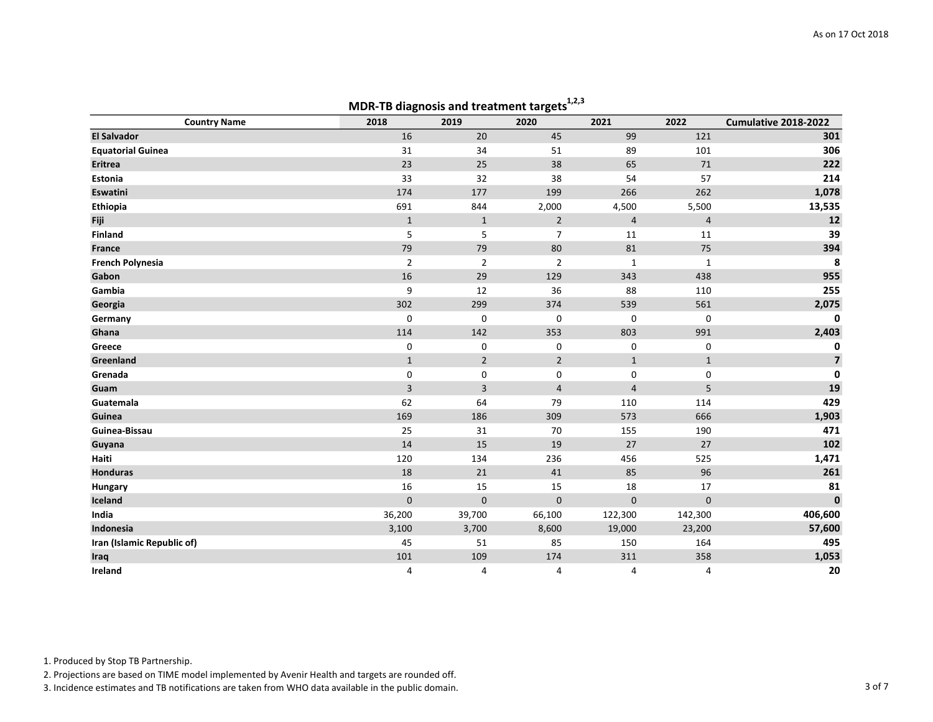|                            |                         | MDR-TD alagnosis and treatment targets |                |                         |                |                      |
|----------------------------|-------------------------|----------------------------------------|----------------|-------------------------|----------------|----------------------|
| <b>Country Name</b>        | 2018                    | 2019                                   | 2020           | 2021                    | 2022           | Cumulative 2018-2022 |
| <b>El Salvador</b>         | 16                      | 20                                     | 45             | 99                      | 121            | 301                  |
| <b>Equatorial Guinea</b>   | 31                      | 34                                     | 51             | 89                      | 101            | 306                  |
| <b>Eritrea</b>             | 23                      | 25                                     | 38             | 65                      | 71             | 222                  |
| Estonia                    | 33                      | 32                                     | 38             | 54                      | 57             | 214                  |
| Eswatini                   | 174                     | 177                                    | 199            | 266                     | 262            | 1,078                |
| Ethiopia                   | 691                     | 844                                    | 2,000          | 4,500                   | 5,500          | 13,535               |
| Fiji                       | $\mathbf{1}$            | $1\,$                                  | $\overline{2}$ | $\overline{4}$          | $\overline{4}$ | 12                   |
| Finland                    | 5                       | 5                                      | $\overline{7}$ | 11                      | $11\,$         | 39                   |
| <b>France</b>              | 79                      | 79                                     | $80\,$         | 81                      | 75             | 394                  |
| <b>French Polynesia</b>    | $\mathbf{2}$            | $\overline{2}$                         | $\overline{2}$ | $\mathbf 1$             | $\mathbf 1$    | 8                    |
| Gabon                      | 16                      | 29                                     | 129            | 343                     | 438            | 955                  |
| Gambia                     | 9                       | 12                                     | 36             | 88                      | 110            | 255                  |
| Georgia                    | 302                     | 299                                    | 374            | 539                     | 561            | 2,075                |
| Germany                    | $\Omega$                | 0                                      | $\mathbf 0$    | $\mathbf 0$             | 0              | $\mathbf{0}$         |
| Ghana                      | 114                     | 142                                    | 353            | 803                     | 991            | 2,403                |
| Greece                     | 0                       | 0                                      | 0              | 0                       | 0              | 0                    |
| Greenland                  | $\mathbf{1}$            | $\overline{2}$                         | $\overline{2}$ | $\mathbf{1}$            | $\mathbf{1}$   | $\overline{7}$       |
| Grenada                    | 0                       | 0                                      | 0              | 0                       | 0              | $\mathbf 0$          |
| Guam                       | $\overline{\mathbf{3}}$ | 3                                      | $\overline{4}$ | $\overline{\mathbf{4}}$ | 5              | 19                   |
| Guatemala                  | 62                      | 64                                     | 79             | 110                     | 114            | 429                  |
| Guinea                     | 169                     | 186                                    | 309            | 573                     | 666            | 1,903                |
| Guinea-Bissau              | 25                      | 31                                     | 70             | 155                     | 190            | 471                  |
| Guyana                     | 14                      | 15                                     | 19             | 27                      | 27             | 102                  |
| Haiti                      | 120                     | 134                                    | 236            | 456                     | 525            | 1,471                |
| <b>Honduras</b>            | 18                      | 21                                     | 41             | 85                      | 96             | 261                  |
| Hungary                    | 16                      | 15                                     | 15             | 18                      | 17             | 81                   |
| Iceland                    | $\mathbf 0$             | $\pmb{0}$                              | $\mathbf 0$    | $\mathbf 0$             | $\mathbf 0$    | $\pmb{0}$            |
| India                      | 36,200                  | 39,700                                 | 66,100         | 122,300                 | 142,300        | 406,600              |
| Indonesia                  | 3,100                   | 3,700                                  | 8,600          | 19,000                  | 23,200         | 57,600               |
| Iran (Islamic Republic of) | 45                      | 51                                     | 85             | 150                     | 164            | 495                  |
| Iraq                       | 101                     | 109                                    | 174            | 311                     | 358            | 1,053                |
| Ireland                    | 4                       | 4                                      | 4              | 4                       | 4              | 20                   |

# MDR-TB diagnosis and treatment targets $1,2,3$

1. Produced by Stop TB Partnership.

2. Projections are based on TIME model implemented by Avenir Health and targets are rounded off.

3. Incidence estimates and TB notifications are taken from WHO data available in the public domain.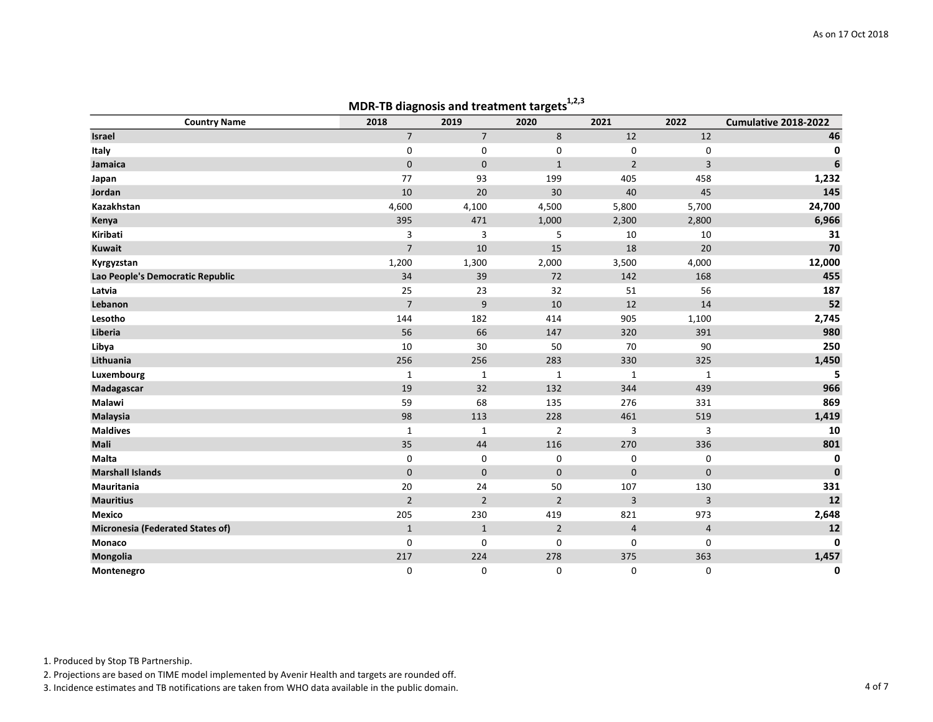|                                  |                | ividR-TD diagnosis and treatment targets |                |                         |                |                      |
|----------------------------------|----------------|------------------------------------------|----------------|-------------------------|----------------|----------------------|
| <b>Country Name</b>              | 2018           | 2019                                     | 2020           | 2021                    | 2022           | Cumulative 2018-2022 |
| Israel                           | $\overline{7}$ | $\overline{7}$                           | 8              | 12                      | 12             | 46                   |
| Italy                            | 0              | 0                                        | 0              | 0                       | 0              | 0                    |
| Jamaica                          | $\mathbf{0}$   | $\mathbf 0$                              | $\mathbf{1}$   | $\overline{2}$          | 3              | $\boldsymbol{6}$     |
| Japan                            | 77             | 93                                       | 199            | 405                     | 458            | 1,232                |
| Jordan                           | 10             | 20                                       | 30             | 40                      | 45             | 145                  |
| Kazakhstan                       | 4,600          | 4,100                                    | 4,500          | 5,800                   | 5,700          | 24,700               |
| Kenya                            | 395            | 471                                      | 1,000          | 2,300                   | 2,800          | 6,966                |
| Kiribati                         | 3              | 3                                        | 5              | 10                      | 10             | 31                   |
| <b>Kuwait</b>                    | $\overline{7}$ | 10                                       | 15             | 18                      | 20             | 70                   |
| Kyrgyzstan                       | 1,200          | 1,300                                    | 2,000          | 3,500                   | 4,000          | 12,000               |
| Lao People's Democratic Republic | 34             | 39                                       | 72             | 142                     | 168            | 455                  |
| Latvia                           | 25             | 23                                       | 32             | 51                      | 56             | 187                  |
| Lebanon                          | $\overline{7}$ | 9                                        | 10             | 12                      | 14             | 52                   |
| Lesotho                          | 144            | 182                                      | 414            | 905                     | 1,100          | 2,745                |
| Liberia                          | 56             | 66                                       | 147            | 320                     | 391            | 980                  |
| Libya                            | 10             | 30                                       | 50             | 70                      | 90             | 250                  |
| Lithuania                        | 256            | 256                                      | 283            | 330                     | 325            | 1,450                |
| Luxembourg                       | $\mathbf{1}$   | 1                                        | $\mathbf{1}$   | $\mathbf{1}$            | $\mathbf{1}$   | 5                    |
| Madagascar                       | 19             | 32                                       | 132            | 344                     | 439            | 966                  |
| Malawi                           | 59             | 68                                       | 135            | 276                     | 331            | 869                  |
| Malaysia                         | 98             | 113                                      | 228            | 461                     | 519            | 1,419                |
| <b>Maldives</b>                  | $\mathbf{1}$   | $\mathbf{1}$                             | $\overline{2}$ | 3                       | 3              | 10                   |
| Mali                             | 35             | 44                                       | 116            | 270                     | 336            | 801                  |
| Malta                            | 0              | 0                                        | 0              | 0                       | 0              | $\mathbf 0$          |
| <b>Marshall Islands</b>          | $\mathbf 0$    | $\mathbf 0$                              | $\mathbf 0$    | $\pmb{0}$               | $\mathbf 0$    | $\mathbf{0}$         |
| Mauritania                       | 20             | 24                                       | 50             | 107                     | 130            | 331                  |
| <b>Mauritius</b>                 | $\overline{2}$ | $\overline{2}$                           | $\overline{2}$ | 3                       | $\overline{3}$ | 12                   |
| <b>Mexico</b>                    | 205            | 230                                      | 419            | 821                     | 973            | 2,648                |
| Micronesia (Federated States of) | $\mathbf{1}$   | $\mathbf{1}$                             | $\overline{2}$ | $\overline{\mathbf{4}}$ | $\overline{4}$ | 12                   |
| Monaco                           | $\mathbf 0$    | $\mathsf 0$                              | 0              | $\mathbf 0$             | $\mathbf 0$    | $\mathbf 0$          |
| Mongolia                         | 217            | 224                                      | 278            | 375                     | 363            | 1,457                |
| Montenegro                       | 0              | 0                                        | 0              | 0                       | 0              | $\mathbf 0$          |

### MDR-TR diagnosis and treatment targets<sup>1,2,3</sup>

1. Produced by Stop TB Partnership.

2. Projections are based on TIME model implemented by Avenir Health and targets are rounded off.

3. Incidence estimates and TB notifications are taken from WHO data available in the public domain. 4 of 7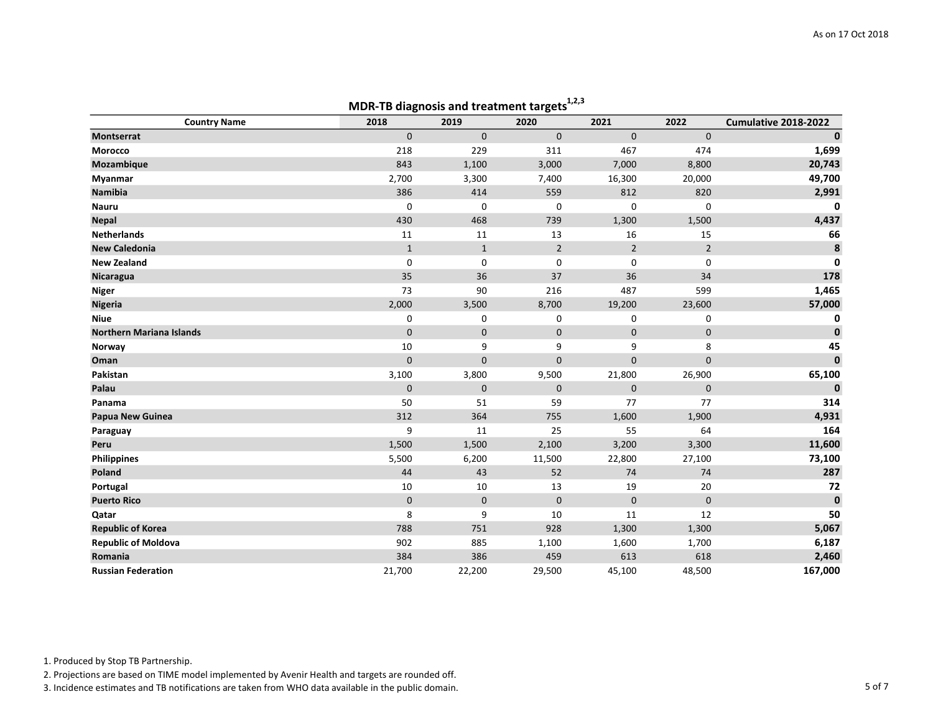|                                 |              | iviDR-TD diagnosis and treatment targets |                |                |                |                      |
|---------------------------------|--------------|------------------------------------------|----------------|----------------|----------------|----------------------|
| <b>Country Name</b>             | 2018         | 2019                                     | 2020           | 2021           | 2022           | Cumulative 2018-2022 |
| <b>Montserrat</b>               | $\mathbf{0}$ | $\mathbf{0}$                             | $\mathbf 0$    | $\mathbf 0$    | $\mathbf{0}$   | $\mathbf 0$          |
| Morocco                         | 218          | 229                                      | 311            | 467            | 474            | 1,699                |
| Mozambique                      | 843          | 1,100                                    | 3,000          | 7,000          | 8,800          | 20,743               |
| Myanmar                         | 2,700        | 3,300                                    | 7,400          | 16,300         | 20,000         | 49,700               |
| <b>Namibia</b>                  | 386          | 414                                      | 559            | 812            | 820            | 2,991                |
| <b>Nauru</b>                    | 0            | 0                                        | 0              | 0              | 0              | 0                    |
| <b>Nepal</b>                    | 430          | 468                                      | 739            | 1,300          | 1,500          | 4,437                |
| <b>Netherlands</b>              | 11           | 11                                       | 13             | 16             | 15             | 66                   |
| <b>New Caledonia</b>            | $\mathbf{1}$ | $\mathbf{1}$                             | $\overline{2}$ | $\overline{2}$ | $\overline{2}$ | $\pmb{8}$            |
| <b>New Zealand</b>              | 0            | 0                                        | 0              | 0              | 0              | $\mathbf 0$          |
| Nicaragua                       | 35           | 36                                       | 37             | 36             | 34             | 178                  |
| <b>Niger</b>                    | 73           | 90                                       | 216            | 487            | 599            | 1,465                |
| <b>Nigeria</b>                  | 2,000        | 3,500                                    | 8,700          | 19,200         | 23,600         | 57,000               |
| <b>Niue</b>                     | 0            | 0                                        | 0              | 0              | 0              | 0                    |
| <b>Northern Mariana Islands</b> | $\mathbf 0$  | $\mathbf 0$                              | $\pmb{0}$      | $\mathbf 0$    | $\pmb{0}$      | $\mathbf 0$          |
| Norway                          | 10           | 9                                        | 9              | 9              | 8              | 45                   |
| Oman                            | $\mathbf 0$  | $\mathbf 0$                              | $\mathbf 0$    | 0              | $\mathbf 0$    | $\pmb{0}$            |
| Pakistan                        | 3,100        | 3,800                                    | 9,500          | 21,800         | 26,900         | 65,100               |
| Palau                           | $\mathbf 0$  | $\mathbf 0$                              | $\mathbf 0$    | $\pmb{0}$      | $\pmb{0}$      | $\mathbf{0}$         |
| Panama                          | 50           | 51                                       | 59             | 77             | 77             | 314                  |
| Papua New Guinea                | 312          | 364                                      | 755            | 1,600          | 1,900          | 4,931                |
| Paraguay                        | 9            | 11                                       | 25             | 55             | 64             | 164                  |
| Peru                            | 1,500        | 1,500                                    | 2,100          | 3,200          | 3,300          | 11,600               |
| Philippines                     | 5,500        | 6,200                                    | 11,500         | 22,800         | 27,100         | 73,100               |
| Poland                          | 44           | 43                                       | 52             | 74             | 74             | 287                  |
| Portugal                        | 10           | 10                                       | 13             | 19             | 20             | 72                   |
| <b>Puerto Rico</b>              | $\mathbf 0$  | $\mathbf 0$                              | $\mathbf 0$    | $\mathbf 0$    | $\mathbf 0$    | $\mathbf{0}$         |
| Qatar                           | 8            | 9                                        | 10             | 11             | 12             | 50                   |
| <b>Republic of Korea</b>        | 788          | 751                                      | 928            | 1,300          | 1,300          | 5,067                |
| <b>Republic of Moldova</b>      | 902          | 885                                      | 1,100          | 1,600          | 1,700          | 6,187                |
| Romania                         | 384          | 386                                      | 459            | 613            | 618            | 2,460                |
| <b>Russian Federation</b>       | 21,700       | 22,200                                   | 29,500         | 45,100         | 48,500         | 167,000              |

#### MDR-TR diagnosis and treatment targets<sup>1,2,3</sup>

1. Produced by Stop TB Partnership.

2. Projections are based on TIME model implemented by Avenir Health and targets are rounded off.

3. Incidence estimates and TB notifications are taken from WHO data available in the public domain. 5 of 7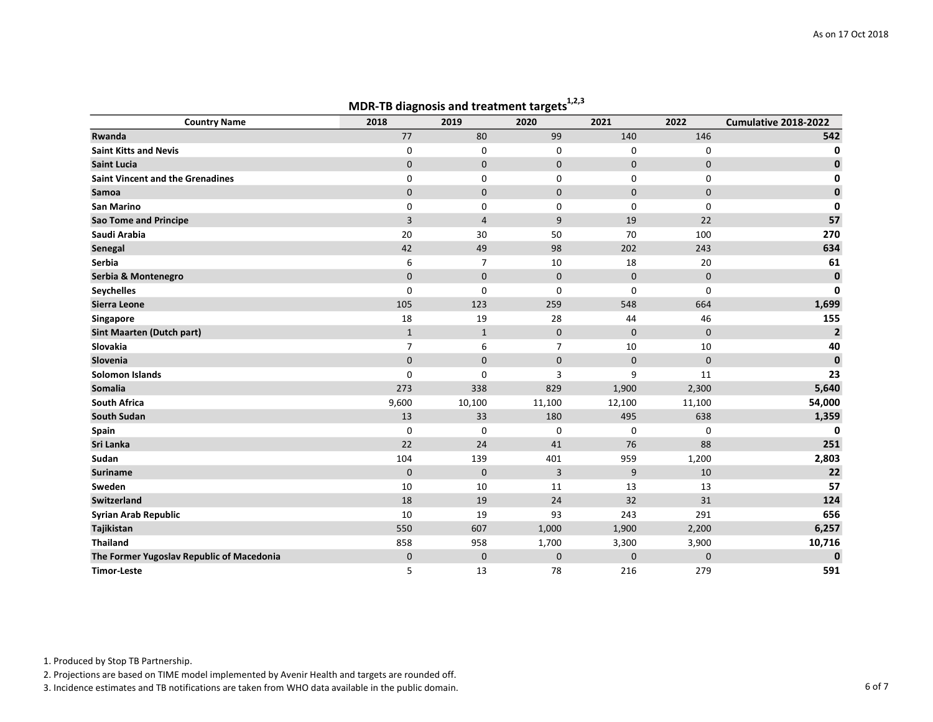|                                           |              | MDR-TD diagnosis and treatment targets |              |             |              |                      |
|-------------------------------------------|--------------|----------------------------------------|--------------|-------------|--------------|----------------------|
| <b>Country Name</b>                       | 2018         | 2019                                   | 2020         | 2021        | 2022         | Cumulative 2018-2022 |
| Rwanda                                    | 77           | 80                                     | 99           | 140         | 146          | 542                  |
| <b>Saint Kitts and Nevis</b>              | 0            | 0                                      | 0            | 0           | 0            | 0                    |
| <b>Saint Lucia</b>                        | $\mathbf 0$  | $\mathbf 0$                            | $\mathbf 0$  | $\mathbf 0$ | $\mathbf 0$  | 0                    |
| <b>Saint Vincent and the Grenadines</b>   | 0            | 0                                      | 0            | 0           | 0            | 0                    |
| Samoa                                     | $\mathbf{0}$ | $\mathbf{0}$                           | $\mathbf{0}$ | $\mathbf 0$ | $\mathbf{0}$ | $\mathbf{0}$         |
| <b>San Marino</b>                         | 0            | 0                                      | 0            | 0           | $\mathbf 0$  | 0                    |
| <b>Sao Tome and Principe</b>              | 3            | $\overline{4}$                         | 9            | 19          | 22           | 57                   |
| Saudi Arabia                              | 20           | 30                                     | 50           | 70          | 100          | 270                  |
| Senegal                                   | 42           | 49                                     | 98           | 202         | 243          | 634                  |
| Serbia                                    | 6            | $\overline{7}$                         | 10           | 18          | 20           | 61                   |
| Serbia & Montenegro                       | $\mathbf 0$  | $\mathbf 0$                            | $\pmb{0}$    | $\pmb{0}$   | $\mathbf 0$  | $\mathbf 0$          |
| <b>Seychelles</b>                         | $\Omega$     | $\mathbf 0$                            | 0            | $\mathbf 0$ | $\mathbf 0$  | $\mathbf 0$          |
| Sierra Leone                              | 105          | 123                                    | 259          | 548         | 664          | 1,699                |
| Singapore                                 | 18           | 19                                     | 28           | 44          | 46           | 155                  |
| <b>Sint Maarten (Dutch part)</b>          | $\mathbf{1}$ | $\mathbf{1}$                           | $\mathbf 0$  | $\mathbf 0$ | $\mathbf 0$  | $\overline{2}$       |
| Slovakia                                  | 7            | 6                                      | 7            | 10          | 10           | 40                   |
| Slovenia                                  | $\mathbf{0}$ | $\mathbf{0}$                           | $\mathbf 0$  | $\mathbf 0$ | $\mathbf{0}$ | $\mathbf 0$          |
| <b>Solomon Islands</b>                    | $\Omega$     | 0                                      | 3            | 9           | 11           | 23                   |
| Somalia                                   | 273          | 338                                    | 829          | 1,900       | 2,300        | 5,640                |
| <b>South Africa</b>                       | 9,600        | 10,100                                 | 11,100       | 12,100      | 11,100       | 54,000               |
| <b>South Sudan</b>                        | 13           | 33                                     | 180          | 495         | 638          | 1,359                |
| Spain                                     | $\mathbf 0$  | 0                                      | 0            | 0           | $\mathbf 0$  | 0                    |
| Sri Lanka                                 | 22           | 24                                     | 41           | 76          | 88           | 251                  |
| Sudan                                     | 104          | 139                                    | 401          | 959         | 1,200        | 2,803                |
| <b>Suriname</b>                           | $\mathbf 0$  | $\mathbf 0$                            | 3            | 9           | 10           | 22                   |
| Sweden                                    | 10           | 10                                     | 11           | 13          | 13           | 57                   |
| Switzerland                               | 18           | 19                                     | 24           | 32          | 31           | 124                  |
| <b>Syrian Arab Republic</b>               | 10           | 19                                     | 93           | 243         | 291          | 656                  |
| Tajikistan                                | 550          | 607                                    | 1,000        | 1,900       | 2,200        | 6,257                |
| <b>Thailand</b>                           | 858          | 958                                    | 1,700        | 3,300       | 3,900        | 10,716               |
| The Former Yugoslav Republic of Macedonia | $\mathbf 0$  | $\mathbf 0$                            | $\mathbf 0$  | $\mathbf 0$ | $\mathbf 0$  | $\mathbf{0}$         |
| <b>Timor-Leste</b>                        | 5            | 13                                     | 78           | 216         | 279          | 591                  |

#### MDR-TR diagnosis and treatment targets<sup>1,2,3</sup>

1. Produced by Stop TB Partnership.

2. Projections are based on TIME model implemented by Avenir Health and targets are rounded off.

3. Incidence estimates and TB notifications are taken from WHO data available in the public domain. 6 of 7